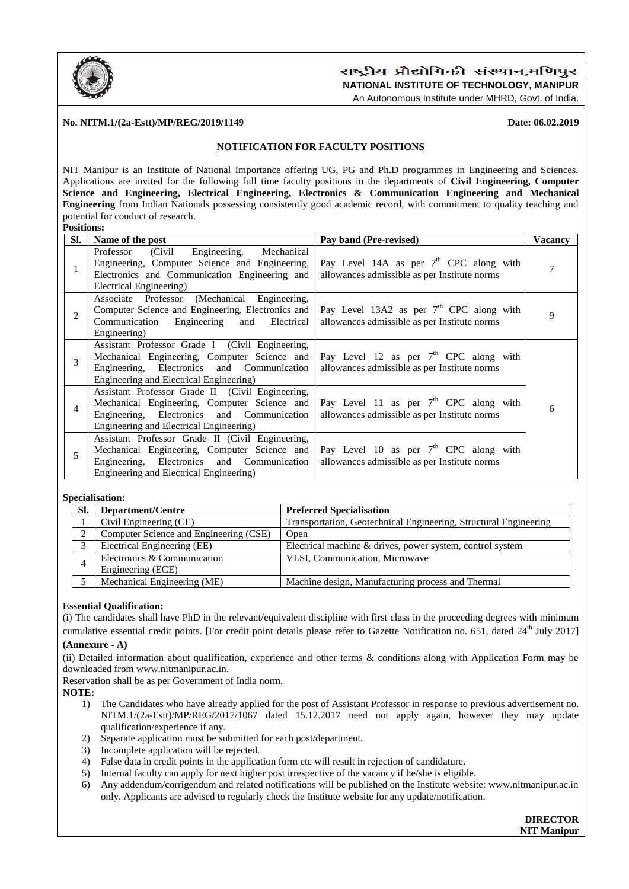

# राष्ट्रीय प्रौद्योगिकी संस्थान,मणिपुर **NATIONAL INSTITUTE OF TECHNOLOGY, MANIPUR**

An Autonomous Institute under MHRD, Govt. of India.

### **No. NITM.1/(2a-Estt)/MP/REG/2019/1149 Date: 06.02.2019**

## **NOTIFICATION FOR FACULTY POSITIONS**

NIT Manipur is an Institute of National Importance offering UG, PG and Ph.D programmes in Engineering and Sciences. Applications are invited for the following full time faculty positions in the departments of **Civil Engineering, Computer Science and Engineering, Electrical Engineering, Electronics & Communication Engineering and Mechanical Engineering** from Indian Nationals possessing consistently good academic record, with commitment to quality teaching and potential for conduct of research.

**Positions:** 

| SI.            | Name of the post                                                                                                                                                                          | Pay band (Pre-revised)                                                                     | <b>Vacancy</b> |
|----------------|-------------------------------------------------------------------------------------------------------------------------------------------------------------------------------------------|--------------------------------------------------------------------------------------------|----------------|
|                | Professor (Civil Engineering,<br>Mechanical<br>Engineering, Computer Science and Engineering,<br>Electronics and Communication Engineering and<br>Electrical Engineering)                 | Pay Level 14A as per $7th$ CPC along with<br>allowances admissible as per Institute norms  |                |
| $\mathfrak{D}$ | Associate Professor (Mechanical Engineering,<br>Computer Science and Engineering, Electronics and<br>Communication<br>Engineering and<br>Electrical<br>Engineering)                       | Pay Level 13A2 as per $7th$ CPC along with<br>allowances admissible as per Institute norms | 9              |
| 3              | Assistant Professor Grade I (Civil Engineering,<br>Mechanical Engineering, Computer Science and<br>Engineering, Electronics and Communication<br>Engineering and Electrical Engineering)  | Pay Level 12 as per $7th$ CPC along with<br>allowances admissible as per Institute norms   |                |
| 4              | Assistant Professor Grade II (Civil Engineering,<br>Mechanical Engineering, Computer Science and<br>Engineering, Electronics and Communication<br>Engineering and Electrical Engineering) | Pay Level 11 as per $7th$ CPC along with<br>allowances admissible as per Institute norms   | 6              |
| 5              | Assistant Professor Grade II (Civil Engineering,<br>Mechanical Engineering, Computer Science and<br>Engineering, Electronics and Communication<br>Engineering and Electrical Engineering) | Pay Level 10 as per $7th$ CPC along with<br>allowances admissible as per Institute norms   |                |

### **Specialisation:**

| SI. | Department/Centre                      | <b>Preferred Specialisation</b>                                  |
|-----|----------------------------------------|------------------------------------------------------------------|
|     | Civil Engineering (CE)                 | Transportation, Geotechnical Engineering, Structural Engineering |
|     | Computer Science and Engineering (CSE) | Open                                                             |
|     | Electrical Engineering (EE)            | Electrical machine & drives, power system, control system        |
| 4   | Electronics & Communication            | VLSI, Communication, Microwave                                   |
|     | Engineering (ECE)                      |                                                                  |
|     | Mechanical Engineering (ME)            | Machine design, Manufacturing process and Thermal                |

## **Essential Qualification:**

(i) The candidates shall have PhD in the relevant/equivalent discipline with first class in the proceeding degrees with minimum cumulative essential credit points. [For credit point details please refer to Gazette Notification no. 651, dated 24<sup>th</sup> July 2017] **(Annexure - A)**

(ii) Detailed information about qualification, experience and other terms & conditions along with Application Form may be downloaded from www.nitmanipur.ac.in.

Reservation shall be as per Government of India norm.

### **NOTE:**

- 1) The Candidates who have already applied for the post of Assistant Professor in response to previous advertisement no. NITM.1/(2a-Estt)/MP/REG/2017/1067 dated 15.12.2017 need not apply again, however they may update qualification/experience if any.
- 2) Separate application must be submitted for each post/department.
- 3) Incomplete application will be rejected.
- 4) False data in credit points in the application form etc will result in rejection of candidature.
- 5) Internal faculty can apply for next higher post irrespective of the vacancy if he/she is eligible.
- 6) Any addendum/corrigendum and related notifications will be published on the Institute website: www.nitmanipur.ac.in only. Applicants are advised to regularly check the Institute website for any update/notification.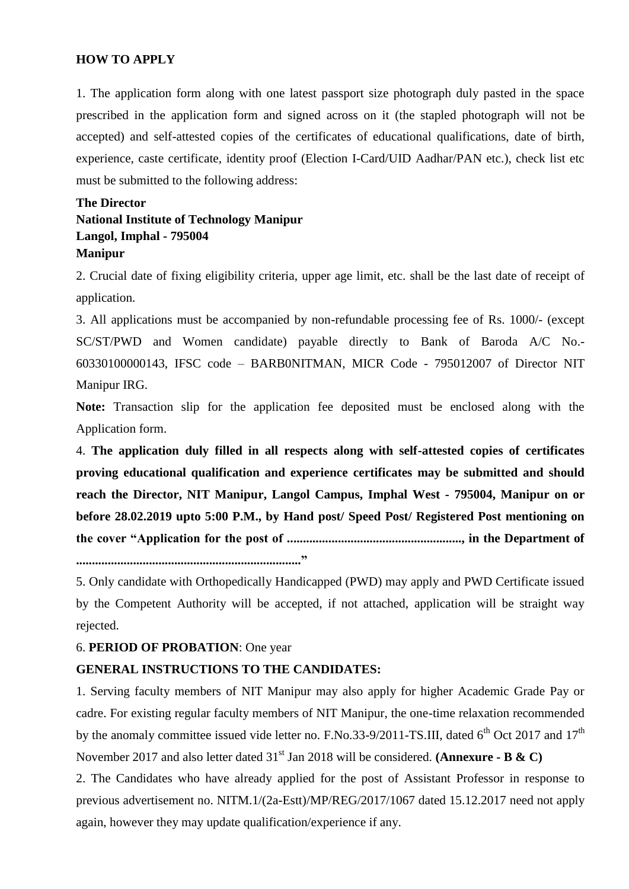## **HOW TO APPLY**

1. The application form along with one latest passport size photograph duly pasted in the space prescribed in the application form and signed across on it (the stapled photograph will not be accepted) and self-attested copies of the certificates of educational qualifications, date of birth, experience, caste certificate, identity proof (Election I-Card/UID Aadhar/PAN etc.), check list etc must be submitted to the following address:

# **The Director National Institute of Technology Manipur Langol, Imphal - 795004 Manipur**

2. Crucial date of fixing eligibility criteria, upper age limit, etc. shall be the last date of receipt of application.

3. All applications must be accompanied by non-refundable processing fee of Rs. 1000/- (except SC/ST/PWD and Women candidate) payable directly to Bank of Baroda A/C No.- 60330100000143, IFSC code – BARB0NITMAN, MICR Code - 795012007 of Director NIT Manipur IRG.

**Note:** Transaction slip for the application fee deposited must be enclosed along with the Application form.

4. **The application duly filled in all respects along with self-attested copies of certificates proving educational qualification and experience certificates may be submitted and should reach the Director, NIT Manipur, Langol Campus, Imphal West - 795004, Manipur on or before 28.02.2019 upto 5:00 P.M., by Hand post/ Speed Post/ Registered Post mentioning on the cover "Application for the post of ......................................................., in the Department of ......................................................................."**

5. Only candidate with Orthopedically Handicapped (PWD) may apply and PWD Certificate issued by the Competent Authority will be accepted, if not attached, application will be straight way rejected.

# 6. **PERIOD OF PROBATION**: One year

# **GENERAL INSTRUCTIONS TO THE CANDIDATES:**

1. Serving faculty members of NIT Manipur may also apply for higher Academic Grade Pay or cadre. For existing regular faculty members of NIT Manipur, the one-time relaxation recommended by the anomaly committee issued vide letter no. F.No.33-9/2011-TS.III, dated 6<sup>th</sup> Oct 2017 and 17<sup>th</sup> November 2017 and also letter dated 31<sup>st</sup> Jan 2018 will be considered. **(Annexure - B & C)** 

2. The Candidates who have already applied for the post of Assistant Professor in response to previous advertisement no. NITM.1/(2a-Estt)/MP/REG/2017/1067 dated 15.12.2017 need not apply again, however they may update qualification/experience if any.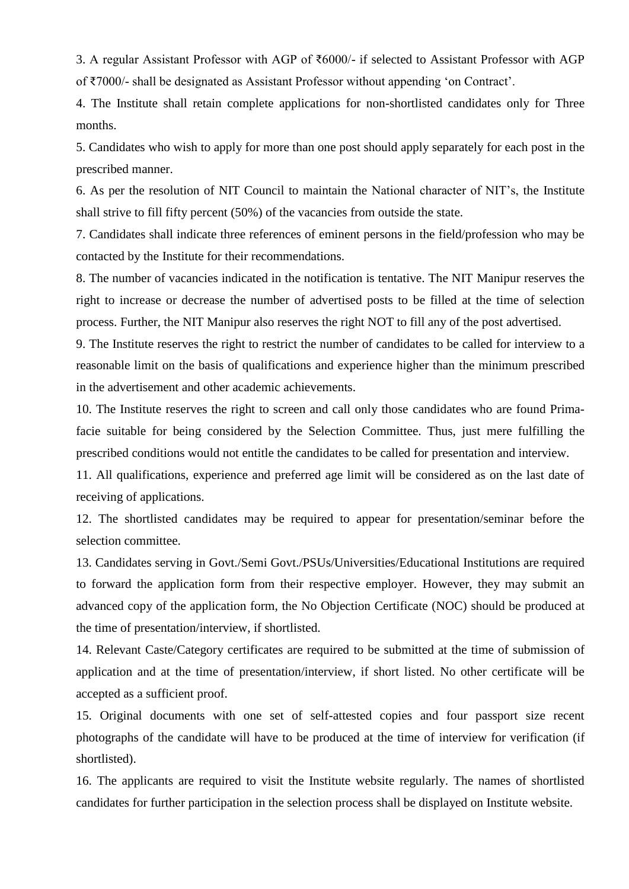3. A regular Assistant Professor with AGP of ₹6000/- if selected to Assistant Professor with AGP of ₹7000/- shall be designated as Assistant Professor without appending 'on Contract'.

4. The Institute shall retain complete applications for non-shortlisted candidates only for Three months.

5. Candidates who wish to apply for more than one post should apply separately for each post in the prescribed manner.

6. As per the resolution of NIT Council to maintain the National character of NIT's, the Institute shall strive to fill fifty percent (50%) of the vacancies from outside the state.

7. Candidates shall indicate three references of eminent persons in the field/profession who may be contacted by the Institute for their recommendations.

8. The number of vacancies indicated in the notification is tentative. The NIT Manipur reserves the right to increase or decrease the number of advertised posts to be filled at the time of selection process. Further, the NIT Manipur also reserves the right NOT to fill any of the post advertised.

9. The Institute reserves the right to restrict the number of candidates to be called for interview to a reasonable limit on the basis of qualifications and experience higher than the minimum prescribed in the advertisement and other academic achievements.

10. The Institute reserves the right to screen and call only those candidates who are found Primafacie suitable for being considered by the Selection Committee. Thus, just mere fulfilling the prescribed conditions would not entitle the candidates to be called for presentation and interview.

11. All qualifications, experience and preferred age limit will be considered as on the last date of receiving of applications.

12. The shortlisted candidates may be required to appear for presentation/seminar before the selection committee.

13. Candidates serving in Govt./Semi Govt./PSUs/Universities/Educational Institutions are required to forward the application form from their respective employer. However, they may submit an advanced copy of the application form, the No Objection Certificate (NOC) should be produced at the time of presentation/interview, if shortlisted.

14. Relevant Caste/Category certificates are required to be submitted at the time of submission of application and at the time of presentation/interview, if short listed. No other certificate will be accepted as a sufficient proof.

15. Original documents with one set of self-attested copies and four passport size recent photographs of the candidate will have to be produced at the time of interview for verification (if shortlisted).

16. The applicants are required to visit the Institute website regularly. The names of shortlisted candidates for further participation in the selection process shall be displayed on Institute website.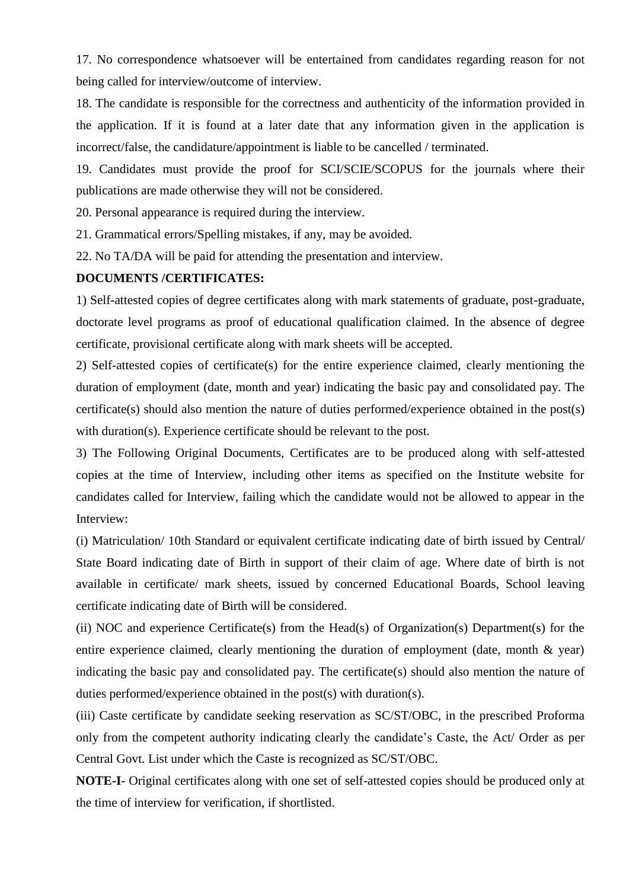17. No correspondence whatsoever will be entertained from candidates regarding reason for not being called for interview/outcome of interview.

18. The candidate is responsible for the correctness and authenticity of the information provided in the application. If it is found at a later date that any information given in the application is incorrect/false, the candidature/appointment is liable to be cancelled / terminated.

19. Candidates must provide the proof for SCI/SCIE/SCOPUS for the journals where their publications are made otherwise they will not be considered.

20. Personal appearance is required during the interview.

21. Grammatical errors/Spelling mistakes, if any, may be avoided.

22. No TA/DA will be paid for attending the presentation and interview.

# **DOCUMENTS /CERTIFICATES:**

1) Self-attested copies of degree certificates along with mark statements of graduate, post-graduate, doctorate level programs as proof of educational qualification claimed. In the absence of degree certificate, provisional certificate along with mark sheets will be accepted.

2) Self-attested copies of certificate(s) for the entire experience claimed, clearly mentioning the duration of employment (date, month and year) indicating the basic pay and consolidated pay. The certificate(s) should also mention the nature of duties performed/experience obtained in the post(s) with duration(s). Experience certificate should be relevant to the post.

3) The Following Original Documents, Certificates are to be produced along with self-attested copies at the time of Interview, including other items as specified on the Institute website for candidates called for Interview, failing which the candidate would not be allowed to appear in the Interview:

(i) Matriculation/ 10th Standard or equivalent certificate indicating date of birth issued by Central/ State Board indicating date of Birth in support of their claim of age. Where date of birth is not available in certificate/ mark sheets, issued by concerned Educational Boards, School leaving certificate indicating date of Birth will be considered.

(ii) NOC and experience Certificate(s) from the Head(s) of Organization(s) Department(s) for the entire experience claimed, clearly mentioning the duration of employment (date, month & year) indicating the basic pay and consolidated pay. The certificate(s) should also mention the nature of duties performed/experience obtained in the post(s) with duration(s).

(iii) Caste certificate by candidate seeking reservation as SC/ST/OBC, in the prescribed Proforma only from the competent authority indicating clearly the candidate's Caste, the Act/ Order as per Central Govt. List under which the Caste is recognized as SC/ST/OBC.

**NOTE-I**- Original certificates along with one set of self-attested copies should be produced only at the time of interview for verification, if shortlisted.